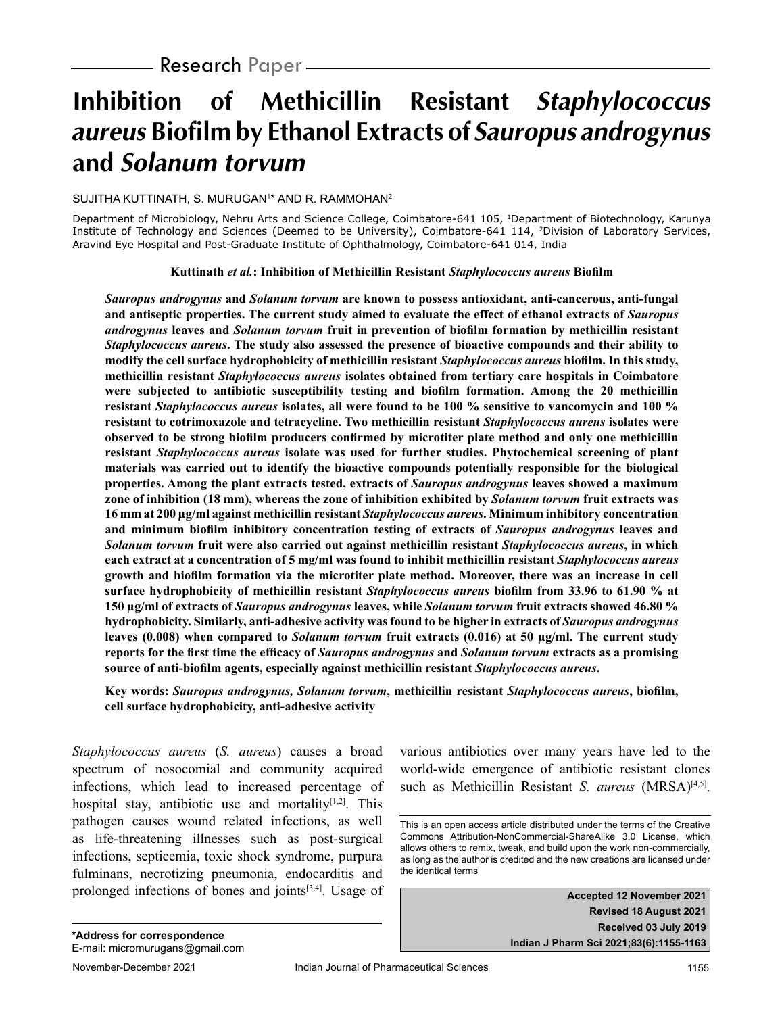# **Inhibition of Methicillin Resistant Staphylococcus aureus Biofilm by Ethanol Extracts of Sauropus androgynus and Solanum torvum**

#### SUJITHA KUTTINATH, S. MURUGAN1 \* AND R. RAMMOHAN2

Department of Microbiology, Nehru Arts and Science College, Coimbatore-641 105, <sup>1</sup>Department of Biotechnology, Karunya Institute of Technology and Sciences (Deemed to be University), Coimbatore-641 114, 2Division of Laboratory Services, Aravind Eye Hospital and Post-Graduate Institute of Ophthalmology, Coimbatore-641 014, India

#### **Kuttinath** *et al.***: Inhibition of Methicillin Resistant** *Staphylococcus aureus* **Biofilm**

*Sauropus androgynus* **and** *Solanum torvum* **are known to possess antioxidant, anti-cancerous, anti-fungal and antiseptic properties. The current study aimed to evaluate the effect of ethanol extracts of** *Sauropus androgynus* **leaves and** *Solanum torvum* **fruit in prevention of biofilm formation by methicillin resistant**  *Staphylococcus aureus***. The study also assessed the presence of bioactive compounds and their ability to modify the cell surface hydrophobicity of methicillin resistant** *Staphylococcus aureus* **biofilm. In this study, methicillin resistant** *Staphylococcus aureus* **isolates obtained from tertiary care hospitals in Coimbatore were subjected to antibiotic susceptibility testing and biofilm formation. Among the 20 methicillin resistant** *Staphylococcus aureus* **isolates, all were found to be 100 % sensitive to vancomycin and 100 % resistant to cotrimoxazole and tetracycline. Two methicillin resistant** *Staphylococcus aureus* **isolates were observed to be strong biofilm producers confirmed by microtiter plate method and only one methicillin resistant** *Staphylococcus aureus* **isolate was used for further studies. Phytochemical screening of plant materials was carried out to identify the bioactive compounds potentially responsible for the biological properties. Among the plant extracts tested, extracts of** *Sauropus androgynus* **leaves showed a maximum zone of inhibition (18 mm), whereas the zone of inhibition exhibited by** *Solanum torvum* **fruit extracts was 16 mm at 200 µg/ml against methicillin resistant** *Staphylococcus aureus***. Minimum inhibitory concentration and minimum biofilm inhibitory concentration testing of extracts of** *Sauropus androgynus* **leaves and**  *Solanum torvum* **fruit were also carried out against methicillin resistant** *Staphylococcus aureus***, in which each extract at a concentration of 5 mg/ml was found to inhibit methicillin resistant** *Staphylococcus aureus* **growth and biofilm formation via the microtiter plate method. Moreover, there was an increase in cell surface hydrophobicity of methicillin resistant** *Staphylococcus aureus* **biofilm from 33.96 to 61.90 % at 150 µg/ml of extracts of** *Sauropus androgynus* **leaves, while** *Solanum torvum* **fruit extracts showed 46.80 % hydrophobicity. Similarly, anti-adhesive activity was found to be higher in extracts of** *Sauropus androgynus* **leaves (0.008) when compared to** *Solanum torvum* **fruit extracts (0.016) at 50 µg/ml. The current study reports for the first time the efficacy of** *Sauropus androgynus* **and** *Solanum torvum* **extracts as a promising source of anti-biofilm agents, especially against methicillin resistant** *Staphylococcus aureus***.**

**Key words:** *Sauropus androgynus, Solanum torvum***, methicillin resistant** *Staphylococcus aureus***, biofilm, cell surface hydrophobicity, anti-adhesive activity**

*Staphylococcus aureus* (*S. aureus*) causes a broad spectrum of nosocomial and community acquired infections, which lead to increased percentage of hospital stay, antibiotic use and mortality $[1,2]$ . This pathogen causes wound related infections, as well as life-threatening illnesses such as post-surgical infections, septicemia, toxic shock syndrome, purpura fulminans, necrotizing pneumonia, endocarditis and prolonged infections of bones and joints[3,4]. Usage of various antibiotics over many years have led to the world-wide emergence of antibiotic resistant clones such as Methicillin Resistant *S. aureus* (MRSA)<sup>[4,5]</sup>.

**Accepted 12 November 2021 Revised 18 August 2021 Received 03 July 2019 Indian J Pharm Sci 2021;83(6):1155-1163**

This is an open access article distributed under the terms of the Creative Commons Attribution-NonCommercial-ShareAlike 3.0 License, which allows others to remix, tweak, and build upon the work non-commercially, as long as the author is credited and the new creations are licensed under the identical terms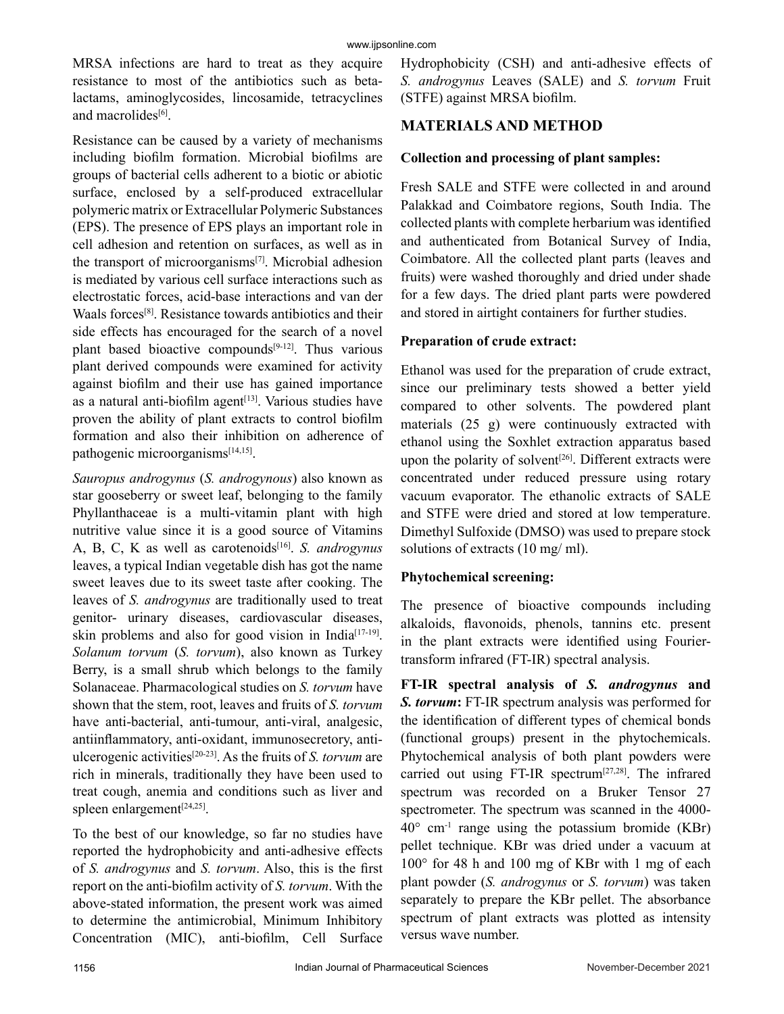MRSA infections are hard to treat as they acquire resistance to most of the antibiotics such as betalactams, aminoglycosides, lincosamide, tetracyclines and macrolides<sup>[6]</sup>.

Resistance can be caused by a variety of mechanisms including biofilm formation. Microbial biofilms are groups of bacterial cells adherent to a biotic or abiotic surface, enclosed by a self-produced extracellular polymeric matrix or Extracellular Polymeric Substances (EPS). The presence of EPS plays an important role in cell adhesion and retention on surfaces, as well as in the transport of microorganisms[7]. Microbial adhesion is mediated by various cell surface interactions such as electrostatic forces, acid-base interactions and van der Waals forces[8]. Resistance towards antibiotics and their side effects has encouraged for the search of a novel plant based bioactive compounds $[9-12]$ . Thus various plant derived compounds were examined for activity against biofilm and their use has gained importance as a natural anti-biofilm agent<sup>[13]</sup>. Various studies have proven the ability of plant extracts to control biofilm formation and also their inhibition on adherence of pathogenic microorganisms[14,15].

*Sauropus androgynus* (*S. androgynous*) also known as star gooseberry or sweet leaf, belonging to the family Phyllanthaceae is a multi-vitamin plant with high nutritive value since it is a good source of Vitamins A, B, C, K as well as carotenoids<sup>[16]</sup>. *S. androgynus* leaves, a typical Indian vegetable dish has got the name sweet leaves due to its sweet taste after cooking. The leaves of *S. androgynus* are traditionally used to treat genitor- urinary diseases, cardiovascular diseases, skin problems and also for good vision in India<sup>[17-19]</sup>. *Solanum torvum* (*S. torvum*), also known as Turkey Berry, is a small shrub which belongs to the family Solanaceae. Pharmacological studies on *S. torvum* have shown that the stem, root, leaves and fruits of *S. torvum* have anti-bacterial, anti-tumour, anti-viral, analgesic, antiinflammatory, anti-oxidant, immunosecretory, antiulcerogenic activities[20-23]. As the fruits of *S. torvum* are rich in minerals, traditionally they have been used to treat cough, anemia and conditions such as liver and spleen enlargement $[24,25]$ .

To the best of our knowledge, so far no studies have reported the hydrophobicity and anti-adhesive effects of *S. androgynus* and *S. torvum*. Also, this is the first report on the anti-biofilm activity of *S. torvum*. With the above-stated information, the present work was aimed to determine the antimicrobial, Minimum Inhibitory Concentration (MIC), anti-biofilm, Cell Surface Hydrophobicity (CSH) and anti-adhesive effects of *S. androgynus* Leaves (SALE) and *S. torvum* Fruit (STFE) against MRSA biofilm.

## **MATERIALS AND METHOD**

#### **Collection and processing of plant samples:**

Fresh SALE and STFE were collected in and around Palakkad and Coimbatore regions, South India. The collected plants with complete herbarium was identified and authenticated from Botanical Survey of India, Coimbatore. All the collected plant parts (leaves and fruits) were washed thoroughly and dried under shade for a few days. The dried plant parts were powdered and stored in airtight containers for further studies.

#### **Preparation of crude extract:**

Ethanol was used for the preparation of crude extract, since our preliminary tests showed a better yield compared to other solvents. The powdered plant materials (25 g) were continuously extracted with ethanol using the Soxhlet extraction apparatus based upon the polarity of solvent<sup>[26]</sup>. Different extracts were concentrated under reduced pressure using rotary vacuum evaporator. The ethanolic extracts of SALE and STFE were dried and stored at low temperature. Dimethyl Sulfoxide (DMSO) was used to prepare stock solutions of extracts (10 mg/ ml).

## **Phytochemical screening:**

The presence of bioactive compounds including alkaloids, flavonoids, phenols, tannins etc. present in the plant extracts were identified using Fouriertransform infrared (FT-IR) spectral analysis.

**FT-IR spectral analysis of** *S. androgynus* **and**  *S. torvum***:** FT-IR spectrum analysis was performed for the identification of different types of chemical bonds (functional groups) present in the phytochemicals. Phytochemical analysis of both plant powders were carried out using FT-IR spectrum<sup>[27,28]</sup>. The infrared spectrum was recorded on a Bruker Tensor 27 spectrometer. The spectrum was scanned in the 4000-  $40^{\circ}$  cm<sup>-1</sup> range using the potassium bromide (KBr) pellet technique. KBr was dried under a vacuum at 100° for 48 h and 100 mg of KBr with 1 mg of each plant powder (*S. androgynus* or *S. torvum*) was taken separately to prepare the KBr pellet. The absorbance spectrum of plant extracts was plotted as intensity versus wave number.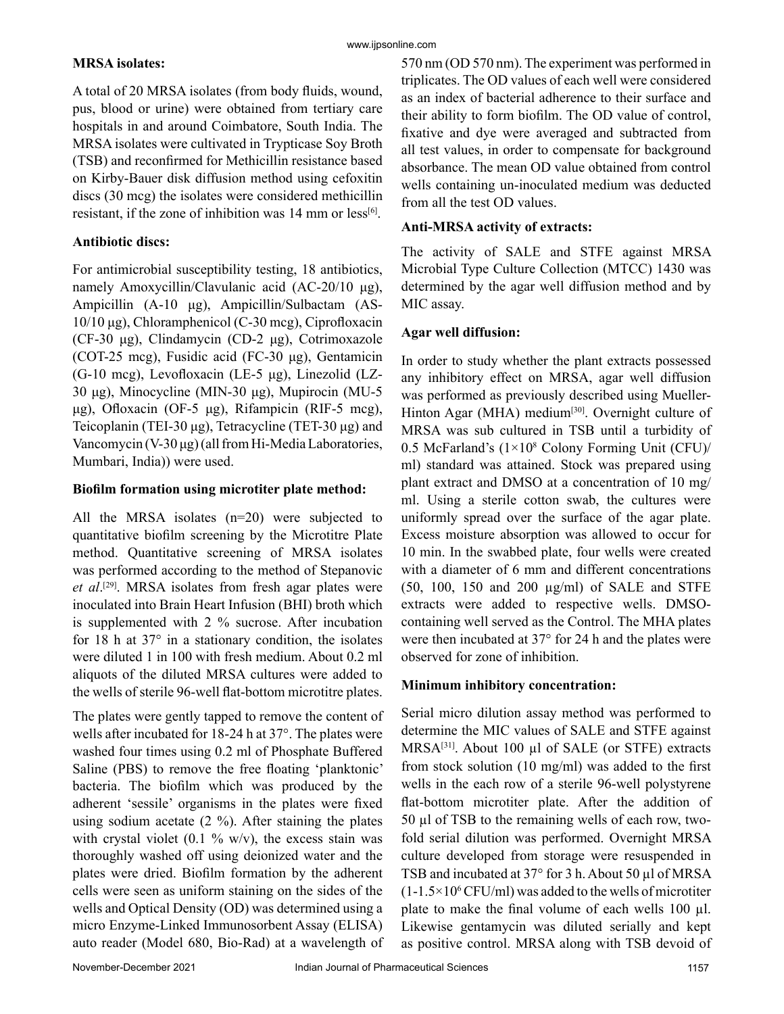#### **MRSA isolates:**

www.ijpsonline.com

A total of 20 MRSA isolates (from body fluids, wound, pus, blood or urine) were obtained from tertiary care hospitals in and around Coimbatore, South India. The MRSA isolates were cultivated in Trypticase Soy Broth (TSB) and reconfirmed for Methicillin resistance based on Kirby-Bauer disk diffusion method using cefoxitin discs (30 mcg) the isolates were considered methicillin resistant, if the zone of inhibition was  $14 \text{ mm}$  or less<sup>[6]</sup>.

#### **Antibiotic discs:**

For antimicrobial susceptibility testing, 18 antibiotics, namely Amoxycillin/Clavulanic acid (AC-20/10 μg), Ampicillin (A-10 μg), Ampicillin/Sulbactam (AS-10/10 μg), Chloramphenicol (C-30 mcg), Ciprofloxacin (CF-30 μg), Clindamycin (CD-2 μg), Cotrimoxazole (COT-25 mcg), Fusidic acid (FC-30 μg), Gentamicin (G-10 mcg), Levofloxacin (LE-5 μg), Linezolid (LZ-30 μg), Minocycline (MIN-30 μg), Mupirocin (MU-5 μg), Ofloxacin (OF-5 μg), Rifampicin (RIF-5 mcg), Teicoplanin (TEI-30 μg), Tetracycline (TET-30 μg) and Vancomycin (V-30 μg) (all from Hi-Media Laboratories, Mumbari, India)) were used.

#### **Biofilm formation using microtiter plate method:**

All the MRSA isolates (n=20) were subjected to quantitative biofilm screening by the Microtitre Plate method. Quantitative screening of MRSA isolates was performed according to the method of Stepanovic *et al*. [29]. MRSA isolates from fresh agar plates were inoculated into Brain Heart Infusion (BHI) broth which is supplemented with 2 % sucrose. After incubation for 18 h at  $37^{\circ}$  in a stationary condition, the isolates were diluted 1 in 100 with fresh medium. About 0.2 ml aliquots of the diluted MRSA cultures were added to the wells of sterile 96-well flat-bottom microtitre plates.

The plates were gently tapped to remove the content of wells after incubated for 18-24 h at 37°. The plates were washed four times using 0.2 ml of Phosphate Buffered Saline (PBS) to remove the free floating 'planktonic' bacteria. The biofilm which was produced by the adherent 'sessile' organisms in the plates were fixed using sodium acetate  $(2 \%)$ . After staining the plates with crystal violet  $(0.1 \frac{9}{6} \text{ w/v})$ , the excess stain was thoroughly washed off using deionized water and the plates were dried. Biofilm formation by the adherent cells were seen as uniform staining on the sides of the wells and Optical Density (OD) was determined using a micro Enzyme-Linked Immunosorbent Assay (ELISA) auto reader (Model 680, Bio-Rad) at a wavelength of 570 nm (OD 570 nm). The experiment was performed in triplicates. The OD values of each well were considered as an index of bacterial adherence to their surface and their ability to form biofilm. The OD value of control, fixative and dye were averaged and subtracted from all test values, in order to compensate for background absorbance. The mean OD value obtained from control wells containing un-inoculated medium was deducted from all the test OD values.

#### **Anti-MRSA activity of extracts:**

The activity of SALE and STFE against MRSA Microbial Type Culture Collection (MTCC) 1430 was determined by the agar well diffusion method and by MIC assay.

#### **Agar well diffusion:**

In order to study whether the plant extracts possessed any inhibitory effect on MRSA, agar well diffusion was performed as previously described using Mueller-Hinton Agar (MHA) medium<sup>[30]</sup>. Overnight culture of MRSA was sub cultured in TSB until a turbidity of 0.5 McFarland's (1×10<sup>8</sup> Colony Forming Unit (CFU)/ ml) standard was attained. Stock was prepared using plant extract and DMSO at a concentration of 10 mg/ ml. Using a sterile cotton swab, the cultures were uniformly spread over the surface of the agar plate. Excess moisture absorption was allowed to occur for 10 min. In the swabbed plate, four wells were created with a diameter of 6 mm and different concentrations (50, 100, 150 and 200 µg/ml) of SALE and STFE extracts were added to respective wells. DMSOcontaining well served as the Control. The MHA plates were then incubated at 37° for 24 h and the plates were observed for zone of inhibition.

#### **Minimum inhibitory concentration:**

Serial micro dilution assay method was performed to determine the MIC values of SALE and STFE against MRSA<sup>[31]</sup>. About 100 µl of SALE (or STFE) extracts from stock solution (10 mg/ml) was added to the first wells in the each row of a sterile 96-well polystyrene flat-bottom microtiter plate. After the addition of 50 µl of TSB to the remaining wells of each row, twofold serial dilution was performed. Overnight MRSA culture developed from storage were resuspended in TSB and incubated at 37° for 3 h. About 50 µl of MRSA  $(1-1.5\times10^{6}$  CFU/ml) was added to the wells of microtiter plate to make the final volume of each wells 100 µl. Likewise gentamycin was diluted serially and kept as positive control. MRSA along with TSB devoid of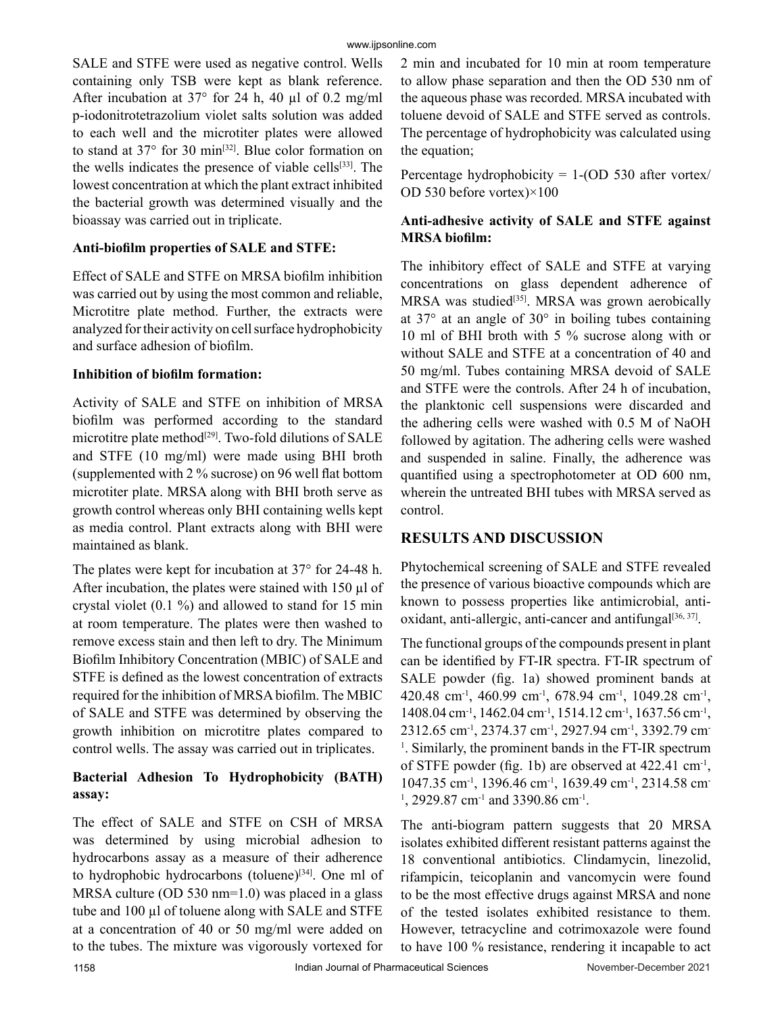SALE and STFE were used as negative control. Wells containing only TSB were kept as blank reference. After incubation at 37° for 24 h, 40 µl of 0.2 mg/ml p-iodonitrotetrazolium violet salts solution was added to each well and the microtiter plates were allowed to stand at 37° for 30 min<sup>[32]</sup>. Blue color formation on the wells indicates the presence of viable cells<sup>[33]</sup>. The lowest concentration at which the plant extract inhibited the bacterial growth was determined visually and the bioassay was carried out in triplicate.

#### **Anti-biofilm properties of SALE and STFE:**

Effect of SALE and STFE on MRSA biofilm inhibition was carried out by using the most common and reliable, Microtitre plate method. Further, the extracts were analyzed for their activity on cell surface hydrophobicity and surface adhesion of biofilm.

#### **Inhibition of biofilm formation:**

Activity of SALE and STFE on inhibition of MRSA biofilm was performed according to the standard microtitre plate method $[29]$ . Two-fold dilutions of SALE and STFE (10 mg/ml) were made using BHI broth (supplemented with 2 % sucrose) on 96 well flat bottom microtiter plate. MRSA along with BHI broth serve as growth control whereas only BHI containing wells kept as media control. Plant extracts along with BHI were maintained as blank.

The plates were kept for incubation at 37° for 24-48 h. After incubation, the plates were stained with  $150 \mu l$  of crystal violet (0.1 %) and allowed to stand for 15 min at room temperature. The plates were then washed to remove excess stain and then left to dry. The Minimum Biofilm Inhibitory Concentration (MBIC) of SALE and STFE is defined as the lowest concentration of extracts required for the inhibition of MRSA biofilm. The MBIC of SALE and STFE was determined by observing the growth inhibition on microtitre plates compared to control wells. The assay was carried out in triplicates.

## **Bacterial Adhesion To Hydrophobicity (BATH) assay:**

The effect of SALE and STFE on CSH of MRSA was determined by using microbial adhesion to hydrocarbons assay as a measure of their adherence to hydrophobic hydrocarbons (toluene) $[34]$ . One ml of MRSA culture (OD 530 nm=1.0) was placed in a glass tube and 100 µl of toluene along with SALE and STFE at a concentration of 40 or 50 mg/ml were added on to the tubes. The mixture was vigorously vortexed for 2 min and incubated for 10 min at room temperature to allow phase separation and then the OD 530 nm of the aqueous phase was recorded. MRSA incubated with toluene devoid of SALE and STFE served as controls. The percentage of hydrophobicity was calculated using the equation;

Percentage hydrophobicity =  $1-(OD 530$  after vortex/ OD 530 before vortex)×100

## **Anti-adhesive activity of SALE and STFE against MRSA biofilm:**

The inhibitory effect of SALE and STFE at varying concentrations on glass dependent adherence of MRSA was studied<sup>[35]</sup>. MRSA was grown aerobically at  $37^{\circ}$  at an angle of  $30^{\circ}$  in boiling tubes containing 10 ml of BHI broth with 5 % sucrose along with or without SALE and STFE at a concentration of 40 and 50 mg/ml. Tubes containing MRSA devoid of SALE and STFE were the controls. After 24 h of incubation, the planktonic cell suspensions were discarded and the adhering cells were washed with 0.5 M of NaOH followed by agitation. The adhering cells were washed and suspended in saline. Finally, the adherence was quantified using a spectrophotometer at OD 600 nm, wherein the untreated BHI tubes with MRSA served as control.

# **RESULTS AND DISCUSSION**

Phytochemical screening of SALE and STFE revealed the presence of various bioactive compounds which are known to possess properties like antimicrobial, antioxidant, anti-allergic, anti-cancer and antifungal $[36, 37]$ .

The functional groups of the compounds present in plant can be identified by FT-IR spectra. FT-IR spectrum of SALE powder (fig. 1a) showed prominent bands at 420.48 cm-1, 460.99 cm-1, 678.94 cm-1, 1049.28 cm-1, 1408.04 cm<sup>-1</sup>, 1462.04 cm<sup>-1</sup>, 1514.12 cm<sup>-1</sup>, 1637.56 cm<sup>-1</sup>, 2312.65 cm-1, 2374.37 cm-1, 2927.94 cm-1, 3392.79 cm-<sup>1</sup>. Similarly, the prominent bands in the FT-IR spectrum of STFE powder (fig. 1b) are observed at 422.41 cm-1, 1047.35 cm-1, 1396.46 cm-1, 1639.49 cm-1, 2314.58 cm- $1, 2929.87$  cm<sup>-1</sup> and 3390.86 cm<sup>-1</sup>.

The anti-biogram pattern suggests that 20 MRSA isolates exhibited different resistant patterns against the 18 conventional antibiotics. Clindamycin, linezolid, rifampicin, teicoplanin and vancomycin were found to be the most effective drugs against MRSA and none of the tested isolates exhibited resistance to them. However, tetracycline and cotrimoxazole were found to have 100 % resistance, rendering it incapable to act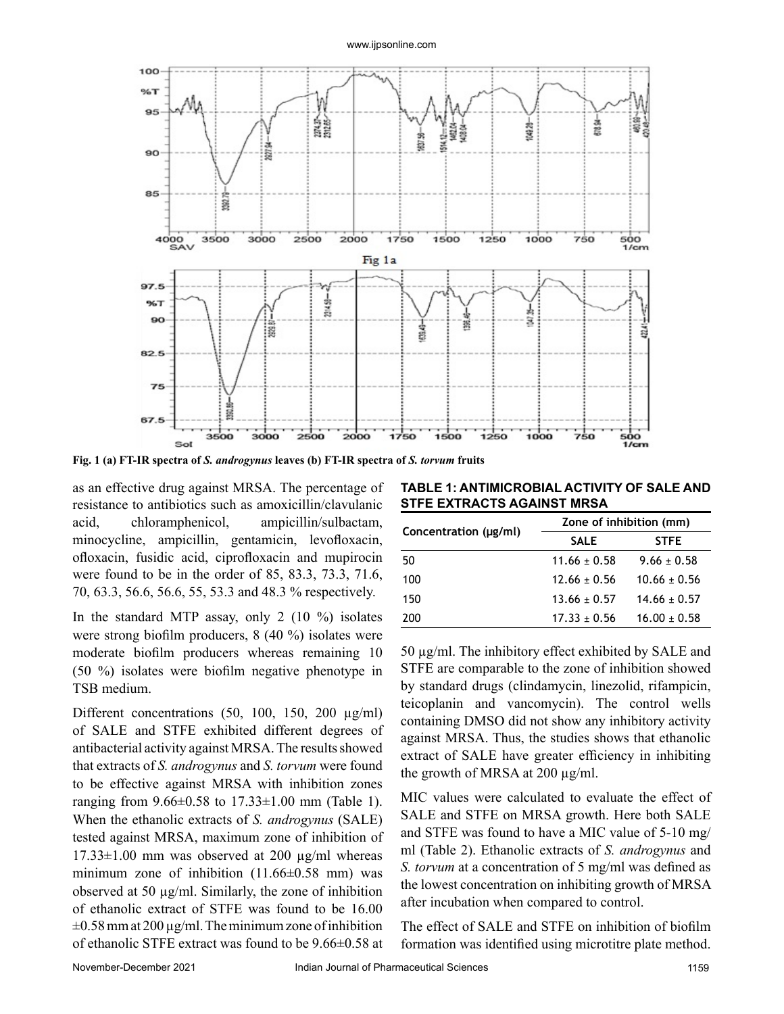

**Fig. 1 (a) FT-IR spectra of** *S. androgynus* **leaves (b) FT-IR spectra of** *S. torvum* **fruits**

as an effective drug against MRSA. The percentage of resistance to antibiotics such as amoxicillin/clavulanic acid, chloramphenicol, ampicillin/sulbactam, minocycline, ampicillin, gentamicin, levofloxacin, ofloxacin, fusidic acid, ciprofloxacin and mupirocin were found to be in the order of 85, 83.3, 73.3, 71.6, 70, 63.3, 56.6, 56.6, 55, 53.3 and 48.3 % respectively.

In the standard MTP assay, only 2  $(10 \%)$  isolates were strong biofilm producers, 8 (40 %) isolates were moderate biofilm producers whereas remaining 10 (50 %) isolates were biofilm negative phenotype in TSB medium.

Different concentrations (50, 100, 150, 200 µg/ml) of SALE and STFE exhibited different degrees of antibacterial activity against MRSA. The results showed that extracts of *S. androgynus* and *S. torvum* were found to be effective against MRSA with inhibition zones ranging from 9.66±0.58 to 17.33±1.00 mm (Table 1). When the ethanolic extracts of *S. androgynus* (SALE) tested against MRSA, maximum zone of inhibition of  $17.33\pm1.00$  mm was observed at 200  $\mu$ g/ml whereas minimum zone of inhibition (11.66±0.58 mm) was observed at 50 µg/ml. Similarly, the zone of inhibition of ethanolic extract of STFE was found to be 16.00  $\pm 0.58$  mm at 200  $\mu$ g/ml. The minimum zone of inhibition of ethanolic STFE extract was found to be 9.66±0.58 at

**TABLE 1: ANTIMICROBIAL ACTIVITY OF SALE AND STFE EXTRACTS AGAINST MRSA**

|                       | Zone of inhibition (mm) |                  |  |  |  |
|-----------------------|-------------------------|------------------|--|--|--|
| Concentration (µg/ml) | <b>SALE</b>             | <b>STFE</b>      |  |  |  |
| 50                    | $11.66 \pm 0.58$        | $9.66 \pm 0.58$  |  |  |  |
| 100                   | $12.66 \pm 0.56$        | $10.66 \pm 0.56$ |  |  |  |
| 150                   | $13.66 \pm 0.57$        | $14.66 \pm 0.57$ |  |  |  |
| 200                   | $17.33 + 0.56$          | $16.00 \pm 0.58$ |  |  |  |

50 µg/ml. The inhibitory effect exhibited by SALE and STFE are comparable to the zone of inhibition showed by standard drugs (clindamycin, linezolid, rifampicin, teicoplanin and vancomycin). The control wells containing DMSO did not show any inhibitory activity against MRSA. Thus, the studies shows that ethanolic extract of SALE have greater efficiency in inhibiting the growth of MRSA at 200 µg/ml.

MIC values were calculated to evaluate the effect of SALE and STFE on MRSA growth. Here both SALE and STFE was found to have a MIC value of 5-10 mg/ ml (Table 2). Ethanolic extracts of *S. androgynus* and *S. torvum* at a concentration of 5 mg/ml was defined as the lowest concentration on inhibiting growth of MRSA after incubation when compared to control.

The effect of SALE and STFE on inhibition of biofilm formation was identified using microtitre plate method.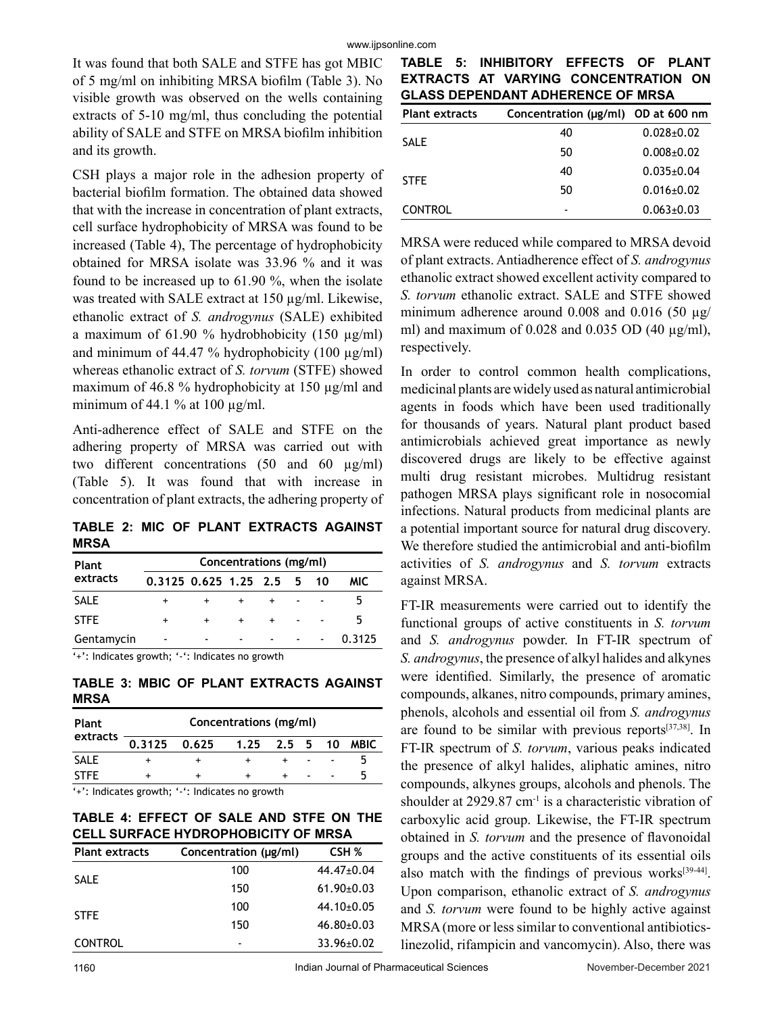It was found that both SALE and STFE has got MBIC of 5 mg/ml on inhibiting MRSA biofilm (Table 3). No visible growth was observed on the wells containing extracts of 5-10 mg/ml, thus concluding the potential ability of SALE and STFE on MRSA biofilm inhibition and its growth.

CSH plays a major role in the adhesion property of bacterial biofilm formation. The obtained data showed that with the increase in concentration of plant extracts, cell surface hydrophobicity of MRSA was found to be increased (Table 4), The percentage of hydrophobicity obtained for MRSA isolate was 33.96 % and it was found to be increased up to 61.90 %, when the isolate was treated with SALE extract at 150 µg/ml. Likewise, ethanolic extract of *S. androgynus* (SALE) exhibited a maximum of 61.90 % hydrobhobicity (150  $\mu$ g/ml) and minimum of 44.47 % hydrophobicity (100  $\mu$ g/ml) whereas ethanolic extract of *S. torvum* (STFE) showed maximum of 46.8 % hydrophobicity at 150 µg/ml and minimum of 44.1 % at 100  $\mu$ g/ml.

Anti-adherence effect of SALE and STFE on the adhering property of MRSA was carried out with two different concentrations (50 and 60 µg/ml) (Table 5). It was found that with increase in concentration of plant extracts, the adhering property of

**TABLE 2: MIC OF PLANT EXTRACTS AGAINST MRSA**

| Plant                                              | Concentrations (mg/ml)      |  |                          |  |  |    |        |
|----------------------------------------------------|-----------------------------|--|--------------------------|--|--|----|--------|
| extracts                                           | $0.3125$ $0.625$ 1.25 2.5 5 |  |                          |  |  | 10 | MIC.   |
| <b>SALE</b>                                        |                             |  |                          |  |  |    |        |
| <b>STFE</b>                                        | $\ddot{}$                   |  | ÷                        |  |  |    |        |
| Gentamycin                                         | $\blacksquare$              |  | $\overline{\phantom{a}}$ |  |  |    | 0.3125 |
| $'$ +': Indicates growth: '-': Indicates no growth |                             |  |                          |  |  |    |        |

: Indicates growth; '-': Indicates no growth

**TABLE 3: MBIC OF PLANT EXTRACTS AGAINST MRSA**

| <b>Plant</b> | Concentrations (mg/ml)     |  |  |        |             |
|--------------|----------------------------|--|--|--------|-------------|
| extracts     | 0.3125 0.625 1.25 2.5 5 10 |  |  |        | <b>MBIC</b> |
| <b>SALE</b>  |                            |  |  |        |             |
| <b>STFE</b>  |                            |  |  | $\sim$ |             |

'+': Indicates growth; '-': Indicates no growth

**TABLE 4: EFFECT OF SALE AND STFE ON THE CELL SURFACE HYDROPHOBICITY OF MRSA**

| <b>Plant extracts</b> | Concentration (µg/ml) | CSH %            |
|-----------------------|-----------------------|------------------|
| <b>SALE</b>           | 100                   | 44.47±0.04       |
|                       | 150                   | $61.90 \pm 0.03$ |
| <b>STFE</b>           | 100                   | $44.10 \pm 0.05$ |
|                       | 150                   | $46.80 \pm 0.03$ |
| <b>CONTROL</b>        |                       | $33.96 \pm 0.02$ |

**TABLE 5: INHIBITORY EFFECTS OF PLANT EXTRACTS AT VARYING CONCENTRATION ON GLASS DEPENDANT ADHERENCE OF MRSA**

| <b>Plant extracts</b> | Concentration (µg/ml) OD at 600 nm |                  |
|-----------------------|------------------------------------|------------------|
| <b>SALE</b>           | 40                                 | $0.028 + 0.02$   |
|                       | 50                                 | $0.008 + 0.02$   |
| <b>STFE</b>           | 40                                 | $0.035 \pm 0.04$ |
|                       | 50                                 | $0.016 \pm 0.02$ |
| <b>CONTROL</b>        |                                    | $0.063 \pm 0.03$ |

MRSA were reduced while compared to MRSA devoid of plant extracts. Antiadherence effect of *S. androgynus* ethanolic extract showed excellent activity compared to *S. torvum* ethanolic extract. SALE and STFE showed minimum adherence around 0.008 and 0.016 (50  $\mu$ g/ ml) and maximum of  $0.028$  and  $0.035$  OD  $(40 \mu g/ml)$ , respectively.

In order to control common health complications, medicinal plants are widely used as natural antimicrobial agents in foods which have been used traditionally for thousands of years. Natural plant product based antimicrobials achieved great importance as newly discovered drugs are likely to be effective against multi drug resistant microbes. Multidrug resistant pathogen MRSA plays significant role in nosocomial infections. Natural products from medicinal plants are a potential important source for natural drug discovery. We therefore studied the antimicrobial and anti-biofilm activities of *S. androgynus* and *S. torvum* extracts against MRSA.

FT-IR measurements were carried out to identify the functional groups of active constituents in *S. torvum* and *S. androgynus* powder. In FT-IR spectrum of *S. androgynus*, the presence of alkyl halides and alkynes were identified. Similarly, the presence of aromatic compounds, alkanes, nitro compounds, primary amines, phenols, alcohols and essential oil from *S. androgynus*  are found to be similar with previous reports $[37,38]$ . In FT-IR spectrum of *S. torvum*, various peaks indicated the presence of alkyl halides, aliphatic amines, nitro compounds, alkynes groups, alcohols and phenols. The shoulder at  $2929.87$  cm<sup>-1</sup> is a characteristic vibration of carboxylic acid group. Likewise, the FT-IR spectrum obtained in *S. torvum* and the presence of flavonoidal groups and the active constituents of its essential oils also match with the findings of previous works $[39-44]$ . Upon comparison, ethanolic extract of *S. androgynus* and *S. torvum* were found to be highly active against MRSA (more or less similar to conventional antibioticslinezolid, rifampicin and vancomycin). Also, there was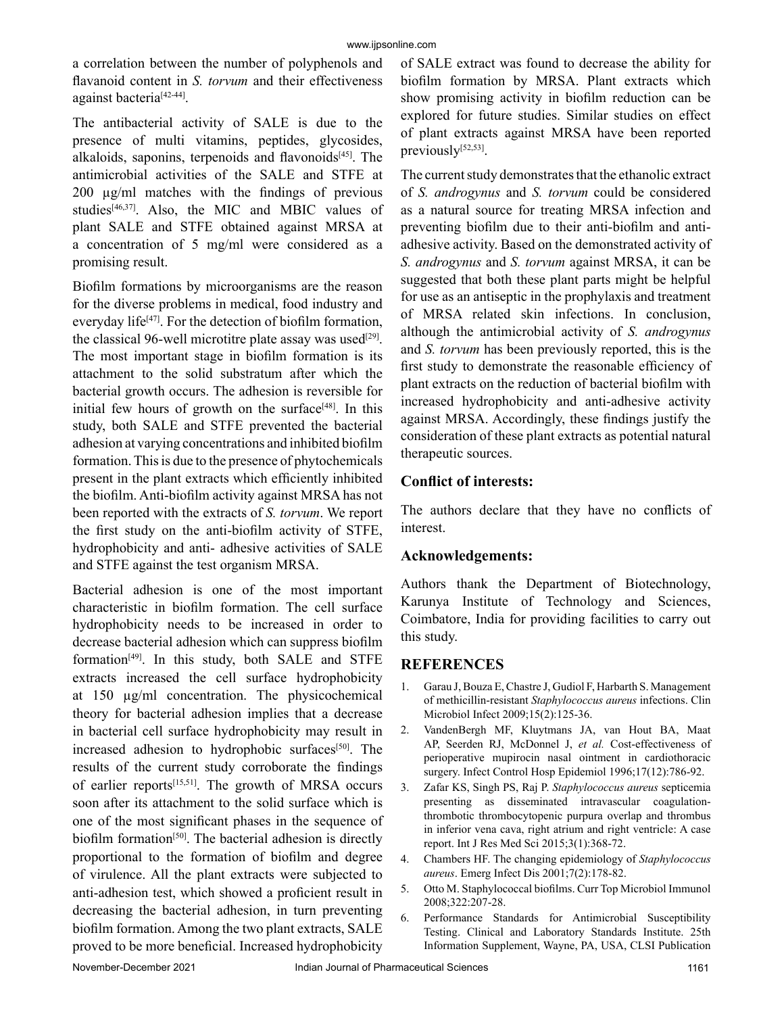a correlation between the number of polyphenols and flavanoid content in *S. torvum* and their effectiveness against bacteria[42-44].

The antibacterial activity of SALE is due to the presence of multi vitamins, peptides, glycosides, alkaloids, saponins, terpenoids and flavonoids $[45]$ . The antimicrobial activities of the SALE and STFE at 200 µg/ml matches with the findings of previous studies<sup>[46,37]</sup>. Also, the MIC and MBIC values of plant SALE and STFE obtained against MRSA at a concentration of 5 mg/ml were considered as a promising result.

Biofilm formations by microorganisms are the reason for the diverse problems in medical, food industry and everyday life<sup>[47]</sup>. For the detection of biofilm formation, the classical 96-well microtitre plate assay was used<sup>[29]</sup>. The most important stage in biofilm formation is its attachment to the solid substratum after which the bacterial growth occurs. The adhesion is reversible for initial few hours of growth on the surface $[48]$ . In this study, both SALE and STFE prevented the bacterial adhesion at varying concentrations and inhibited biofilm formation. This is due to the presence of phytochemicals present in the plant extracts which efficiently inhibited the biofilm. Anti-biofilm activity against MRSA has not been reported with the extracts of *S. torvum*. We report the first study on the anti-biofilm activity of STFE, hydrophobicity and anti- adhesive activities of SALE and STFE against the test organism MRSA.

Bacterial adhesion is one of the most important characteristic in biofilm formation. The cell surface hydrophobicity needs to be increased in order to decrease bacterial adhesion which can suppress biofilm formation[49]. In this study, both SALE and STFE extracts increased the cell surface hydrophobicity at 150 µg/ml concentration. The physicochemical theory for bacterial adhesion implies that a decrease in bacterial cell surface hydrophobicity may result in increased adhesion to hydrophobic surfaces<sup>[50]</sup>. The results of the current study corroborate the findings of earlier reports[15,51]. The growth of MRSA occurs soon after its attachment to the solid surface which is one of the most significant phases in the sequence of biofilm formation<sup>[50]</sup>. The bacterial adhesion is directly proportional to the formation of biofilm and degree of virulence. All the plant extracts were subjected to anti-adhesion test, which showed a proficient result in decreasing the bacterial adhesion, in turn preventing biofilm formation. Among the two plant extracts, SALE proved to be more beneficial. Increased hydrophobicity

of SALE extract was found to decrease the ability for biofilm formation by MRSA. Plant extracts which show promising activity in biofilm reduction can be explored for future studies. Similar studies on effect of plant extracts against MRSA have been reported previously<sup>[52,53]</sup>.

The current study demonstrates that the ethanolic extract of *S. androgynus* and *S. torvum* could be considered as a natural source for treating MRSA infection and preventing biofilm due to their anti-biofilm and antiadhesive activity. Based on the demonstrated activity of *S. androgynus* and *S. torvum* against MRSA, it can be suggested that both these plant parts might be helpful for use as an antiseptic in the prophylaxis and treatment of MRSA related skin infections. In conclusion, although the antimicrobial activity of *S. androgynus* and *S. torvum* has been previously reported, this is the first study to demonstrate the reasonable efficiency of plant extracts on the reduction of bacterial biofilm with increased hydrophobicity and anti-adhesive activity against MRSA. Accordingly, these findings justify the consideration of these plant extracts as potential natural therapeutic sources.

# **Conflict of interests:**

The authors declare that they have no conflicts of interest.

## **Acknowledgements:**

Authors thank the Department of Biotechnology, Karunya Institute of Technology and Sciences, Coimbatore, India for providing facilities to carry out this study.

# **REFERENCES**

- 1. Garau J, Bouza E, Chastre J, Gudiol F, Harbarth S. Management of methicillin-resistant *Staphylococcus aureus* infections. Clin Microbiol Infect 2009;15(2):125-36.
- 2. VandenBergh MF, Kluytmans JA, van Hout BA, Maat AP, Seerden RJ, McDonnel J, *et al.* Cost-effectiveness of perioperative mupirocin nasal ointment in cardiothoracic surgery. Infect Control Hosp Epidemiol 1996;17(12):786-92.
- 3. Zafar KS, Singh PS, Raj P. *Staphylococcus aureus* septicemia presenting as disseminated intravascular coagulationthrombotic thrombocytopenic purpura overlap and thrombus in inferior vena cava, right atrium and right ventricle: A case report. Int J Res Med Sci 2015;3(1):368-72.
- 4. Chambers HF. The changing epidemiology of *Staphylococcus aureus*. Emerg Infect Dis 2001;7(2):178-82.
- 5. Otto M. Staphylococcal biofilms. Curr Top Microbiol Immunol 2008;322:207-28.
- 6. Performance Standards for Antimicrobial Susceptibility Testing. Clinical and Laboratory Standards Institute. 25th Information Supplement, Wayne, PA, USA, CLSI Publication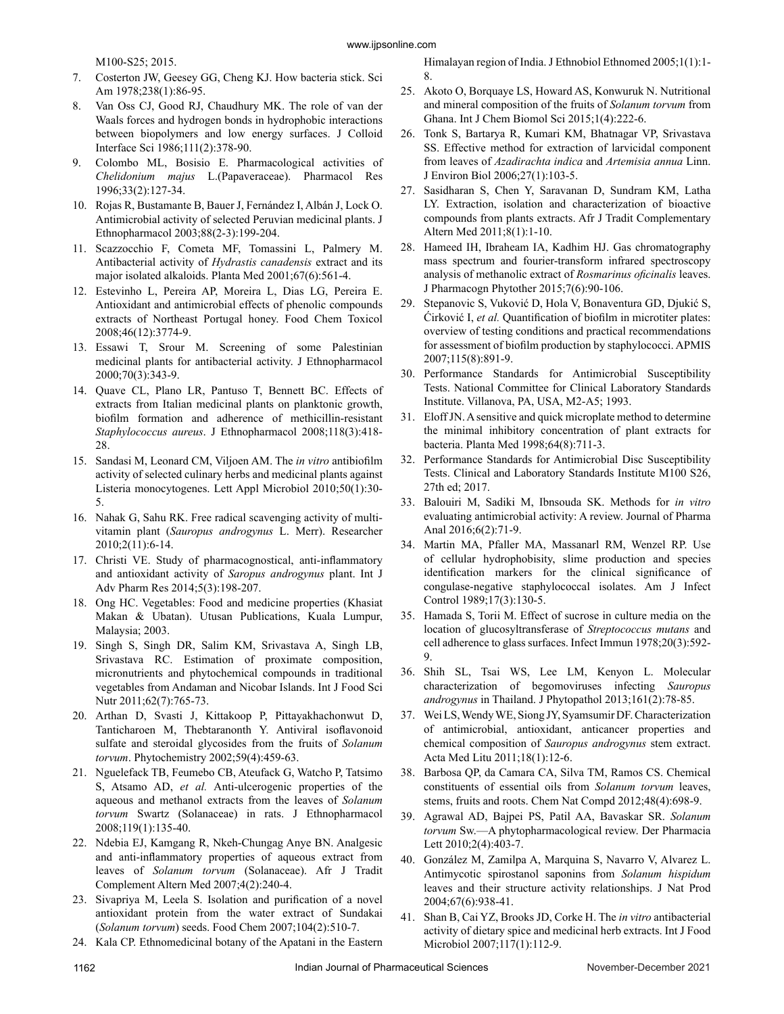M100-S25; 2015.

- 7. Costerton JW, Geesey GG, Cheng KJ. How bacteria stick. Sci Am 1978;238(1):86-95.
- 8. Van Oss CJ, Good RJ, Chaudhury MK. The role of van der Waals forces and hydrogen bonds in hydrophobic interactions between biopolymers and low energy surfaces. J Colloid Interface Sci 1986;111(2):378-90.
- 9. Colombo ML, Bosisio E. Pharmacological activities of *Chelidonium majus* L.(Papaveraceae). Pharmacol Res 1996;33(2):127-34.
- 10. Rojas R, Bustamante B, Bauer J, Fernández I, Albán J, Lock O. Antimicrobial activity of selected Peruvian medicinal plants. J Ethnopharmacol 2003;88(2-3):199-204.
- 11. Scazzocchio F, Cometa MF, Tomassini L, Palmery M. Antibacterial activity of *Hydrastis canadensis* extract and its major isolated alkaloids. Planta Med 2001;67(6):561-4.
- 12. Estevinho L, Pereira AP, Moreira L, Dias LG, Pereira E. Antioxidant and antimicrobial effects of phenolic compounds extracts of Northeast Portugal honey. Food Chem Toxicol 2008;46(12):3774-9.
- 13. Essawi T, Srour M. Screening of some Palestinian medicinal plants for antibacterial activity. J Ethnopharmacol 2000;70(3):343-9.
- 14. Quave CL, Plano LR, Pantuso T, Bennett BC. Effects of extracts from Italian medicinal plants on planktonic growth, biofilm formation and adherence of methicillin-resistant *Staphylococcus aureus*. J Ethnopharmacol 2008;118(3):418- 28.
- 15. Sandasi M, Leonard CM, Viljoen AM. The *in vitro* antibiofilm activity of selected culinary herbs and medicinal plants against Listeria monocytogenes. Lett Appl Microbiol 2010;50(1):30- 5.
- 16. Nahak G, Sahu RK. Free radical scavenging activity of multivitamin plant (*Sauropus androgynus* L. Merr). Researcher 2010;2(11):6-14.
- 17. Christi VE. Study of pharmacognostical, anti-inflammatory and antioxidant activity of *Saropus androgynus* plant. Int J Adv Pharm Res 2014;5(3):198-207.
- 18. Ong HC. Vegetables: Food and medicine properties (Khasiat Makan & Ubatan). Utusan Publications, Kuala Lumpur, Malaysia; 2003.
- 19. Singh S, Singh DR, Salim KM, Srivastava A, Singh LB, Srivastava RC. Estimation of proximate composition, micronutrients and phytochemical compounds in traditional vegetables from Andaman and Nicobar Islands. Int J Food Sci Nutr 2011;62(7):765-73.
- 20. Arthan D, Svasti J, Kittakoop P, Pittayakhachonwut D, Tanticharoen M, Thebtaranonth Y. Antiviral isoflavonoid sulfate and steroidal glycosides from the fruits of *Solanum torvum*. Phytochemistry 2002;59(4):459-63.
- 21. Nguelefack TB, Feumebo CB, Ateufack G, Watcho P, Tatsimo S, Atsamo AD, *et al.* Anti-ulcerogenic properties of the aqueous and methanol extracts from the leaves of *Solanum torvum* Swartz (Solanaceae) in rats. J Ethnopharmacol 2008;119(1):135-40.
- 22. Ndebia EJ, Kamgang R, Nkeh-Chungag Anye BN. Analgesic and anti-inflammatory properties of aqueous extract from leaves of *Solanum torvum* (Solanaceae). Afr J Tradit Complement Altern Med 2007;4(2):240-4.
- 23. Sivapriya M, Leela S. Isolation and purification of a novel antioxidant protein from the water extract of Sundakai (*Solanum torvum*) seeds. Food Chem 2007;104(2):510-7.
- 24. Kala CP. Ethnomedicinal botany of the Apatani in the Eastern

Himalayan region of India. J Ethnobiol Ethnomed 2005;1(1):1- 8.

- 25. Akoto O, Borquaye LS, Howard AS, Konwuruk N. Nutritional and mineral composition of the fruits of *Solanum torvum* from Ghana. Int J Chem Biomol Sci 2015;1(4):222-6.
- 26. Tonk S, Bartarya R, Kumari KM, Bhatnagar VP, Srivastava SS. Effective method for extraction of larvicidal component from leaves of *Azadirachta indica* and *Artemisia annua* Linn. J Environ Biol 2006;27(1):103-5.
- 27. Sasidharan S, Chen Y, Saravanan D, Sundram KM, Latha LY. Extraction, isolation and characterization of bioactive compounds from plants extracts. Afr J Tradit Complementary Altern Med 2011;8(1):1-10.
- 28. Hameed IH, Ibraheam IA, Kadhim HJ. Gas chromatography mass spectrum and fourier-transform infrared spectroscopy analysis of methanolic extract of *Rosmarinus oficinalis* leaves. J Pharmacogn Phytother 2015;7(6):90-106.
- 29. Stepanovic S, Vuković D, Hola V, Bonaventura GD, Djukić S, Ćirković I, *et al.* Quantification of biofilm in microtiter plates: overview of testing conditions and practical recommendations for assessment of biofilm production by staphylococci. APMIS 2007;115(8):891-9.
- 30. Performance Standards for Antimicrobial Susceptibility Tests. National Committee for Clinical Laboratory Standards Institute. Villanova, PA, USA, M2-A5; 1993.
- 31. Eloff JN. A sensitive and quick microplate method to determine the minimal inhibitory concentration of plant extracts for bacteria. Planta Med 1998;64(8):711-3.
- 32. Performance Standards for Antimicrobial Disc Susceptibility Tests. Clinical and Laboratory Standards Institute M100 S26, 27th ed; 2017.
- 33. Balouiri M, Sadiki M, Ibnsouda SK. Methods for *in vitro* evaluating antimicrobial activity: A review. Journal of Pharma Anal 2016;6(2):71-9.
- 34. Martin MA, Pfaller MA, Massanarl RM, Wenzel RP. Use of cellular hydrophobisity, slime production and species identification markers for the clinical significance of congulase-negative staphylococcal isolates. Am J Infect Control 1989;17(3):130-5.
- 35. Hamada S, Torii M. Effect of sucrose in culture media on the location of glucosyltransferase of *Streptococcus mutans* and cell adherence to glass surfaces. Infect Immun 1978;20(3):592- 9.
- 36. Shih SL, Tsai WS, Lee LM, Kenyon L. Molecular characterization of begomoviruses infecting *Sauropus androgynus* in Thailand. J Phytopathol 2013;161(2):78-85.
- 37. Wei LS, Wendy WE, Siong JY, Syamsumir DF. Characterization of antimicrobial, antioxidant, anticancer properties and chemical composition of *Sauropus androgynus* stem extract. Acta Med Litu 2011;18(1):12-6.
- 38. Barbosa QP, da Camara CA, Silva TM, Ramos CS. Chemical constituents of essential oils from *Solanum torvum* leaves, stems, fruits and roots. Chem Nat Compd 2012;48(4):698-9.
- 39. Agrawal AD, Bajpei PS, Patil AA, Bavaskar SR. *Solanum torvum* Sw.—A phytopharmacological review. Der Pharmacia Lett 2010;2(4):403-7.
- 40. González M, Zamilpa A, Marquina S, Navarro V, Alvarez L. Antimycotic spirostanol saponins from *Solanum hispidum* leaves and their structure activity relationships. J Nat Prod 2004;67(6):938-41.
- 41. Shan B, Cai YZ, Brooks JD, Corke H. The *in vitro* antibacterial activity of dietary spice and medicinal herb extracts. Int J Food Microbiol 2007;117(1):112-9.